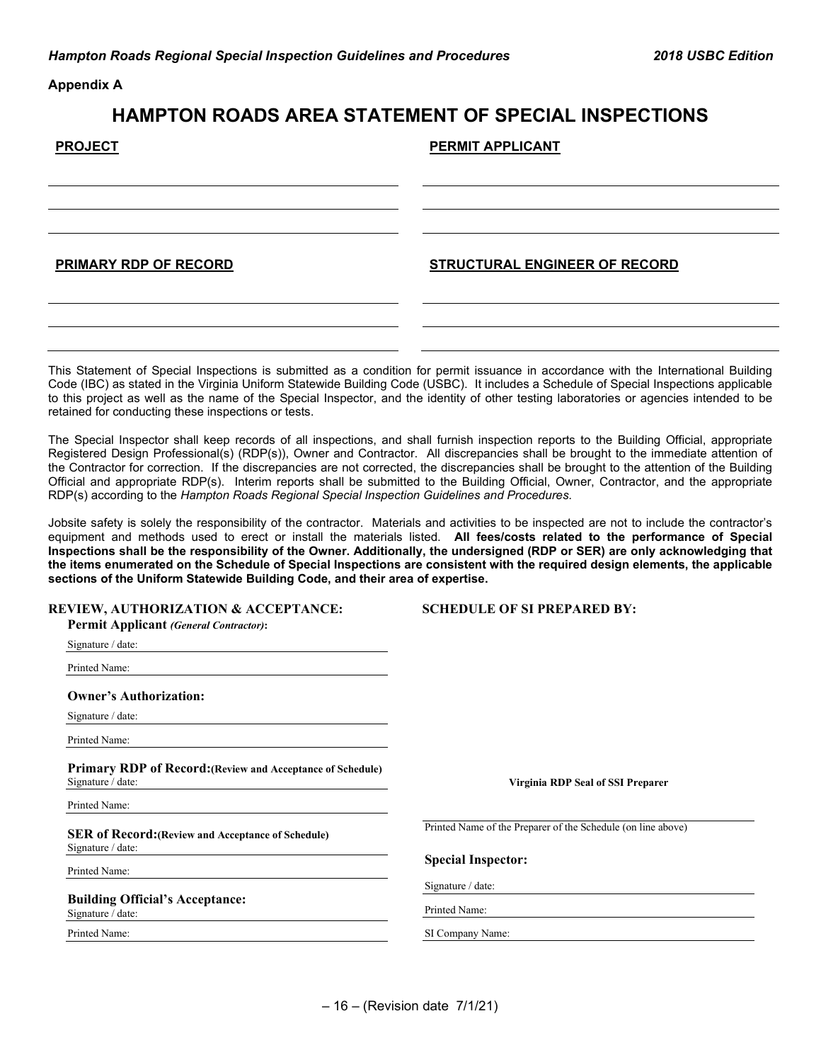**Appendix A**

## **HAMPTON ROADS AREA STATEMENT OF SPECIAL INSPECTIONS**

| <b>PROJECT</b>        | PERMIT APPLICANT              |
|-----------------------|-------------------------------|
|                       |                               |
|                       |                               |
| PRIMARY RDP OF RECORD | STRUCTURAL ENGINEER OF RECORD |
|                       |                               |

This Statement of Special Inspections is submitted as a condition for permit issuance in accordance with the International Building Code (IBC) as stated in the Virginia Uniform Statewide Building Code (USBC). It includes a Schedule of Special Inspections applicable to this project as well as the name of the Special Inspector, and the identity of other testing laboratories or agencies intended to be retained for conducting these inspections or tests.

The Special Inspector shall keep records of all inspections, and shall furnish inspection reports to the Building Official, appropriate Registered Design Professional(s) (RDP(s)), Owner and Contractor. All discrepancies shall be brought to the immediate attention of the Contractor for correction. If the discrepancies are not corrected, the discrepancies shall be brought to the attention of the Building Official and appropriate RDP(s). Interim reports shall be submitted to the Building Official, Owner, Contractor, and the appropriate RDP(s) according to the *Hampton Roads Regional Special Inspection Guidelines and Procedures*.

Jobsite safety is solely the responsibility of the contractor. Materials and activities to be inspected are not to include the contractor's equipment and methods used to erect or install the materials listed. **All fees/costs related to the performance of Special Inspections shall be the responsibility of the Owner. Additionally, the undersigned (RDP or SER) are only acknowledging that the items enumerated on the Schedule of Special Inspections are consistent with the required design elements, the applicable sections of the Uniform Statewide Building Code, and their area of expertise.**

| <b>REVIEW, AUTHORIZATION &amp; ACCEPTANCE:</b><br><b>Permit Applicant (General Contractor):</b> | <b>SCHEDULE OF SI PREPARED BY:</b>                           |
|-------------------------------------------------------------------------------------------------|--------------------------------------------------------------|
| Signature / date:                                                                               |                                                              |
| Printed Name:                                                                                   |                                                              |
| <b>Owner's Authorization:</b>                                                                   |                                                              |
| Signature / date:                                                                               |                                                              |
| Printed Name:                                                                                   |                                                              |
| <b>Primary RDP of Record:</b> (Review and Acceptance of Schedule)<br>Signature / date:          | <b>Virginia RDP Seal of SSI Preparer</b>                     |
| Printed Name:                                                                                   |                                                              |
| <b>SER of Record:</b> (Review and Acceptance of Schedule)<br>Signature / date:                  | Printed Name of the Preparer of the Schedule (on line above) |
| Printed Name:                                                                                   | <b>Special Inspector:</b>                                    |
|                                                                                                 | Signature / date:                                            |
| <b>Building Official's Acceptance:</b><br>Signature / date:                                     | Printed Name:                                                |
| Printed Name:                                                                                   | SI Company Name:                                             |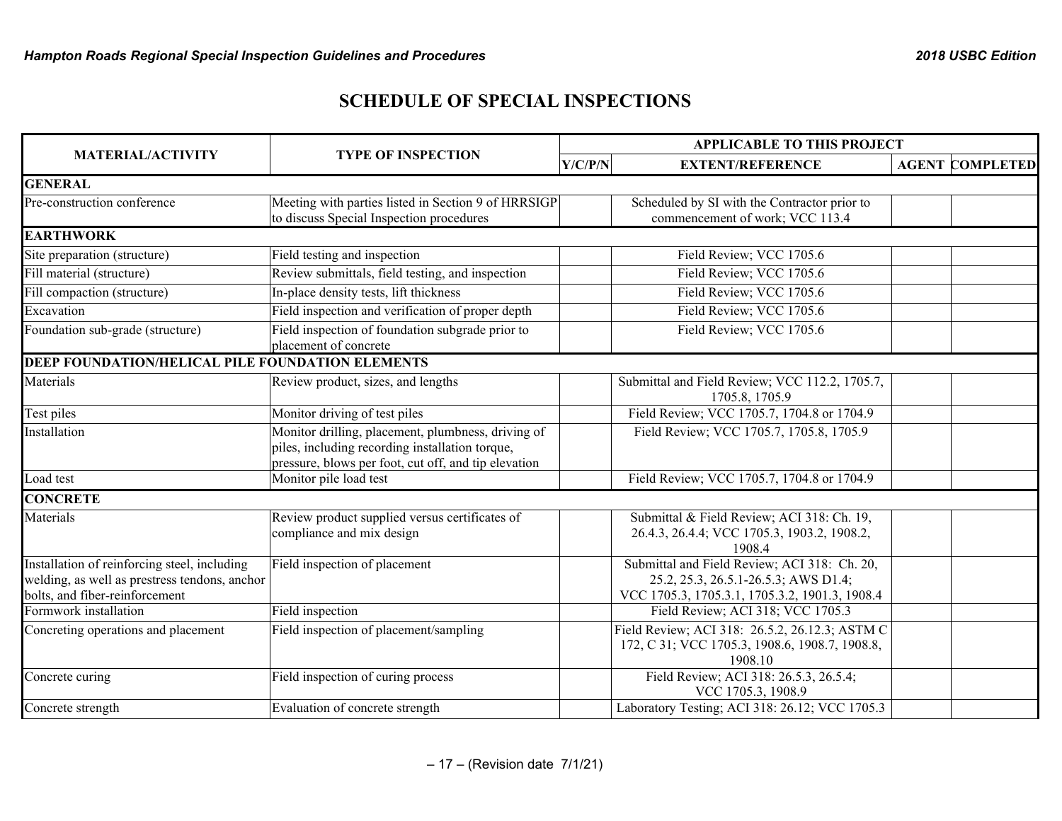## **SCHEDULE OF SPECIAL INSPECTIONS**

|                                                                                                                                 |                                                                                                                                                               | <b>APPLICABLE TO THIS PROJECT</b> |                                                                                                                                        |  |                        |  |
|---------------------------------------------------------------------------------------------------------------------------------|---------------------------------------------------------------------------------------------------------------------------------------------------------------|-----------------------------------|----------------------------------------------------------------------------------------------------------------------------------------|--|------------------------|--|
| <b>MATERIAL/ACTIVITY</b>                                                                                                        | <b>TYPE OF INSPECTION</b><br>Y/C/P/N                                                                                                                          |                                   | <b>EXTENT/REFERENCE</b>                                                                                                                |  | <b>AGENT COMPLETED</b> |  |
| <b>GENERAL</b>                                                                                                                  |                                                                                                                                                               |                                   |                                                                                                                                        |  |                        |  |
| Pre-construction conference                                                                                                     | Meeting with parties listed in Section 9 of HRRSIGP                                                                                                           |                                   | Scheduled by SI with the Contractor prior to                                                                                           |  |                        |  |
|                                                                                                                                 | to discuss Special Inspection procedures                                                                                                                      |                                   | commencement of work; VCC 113.4                                                                                                        |  |                        |  |
| <b>EARTHWORK</b>                                                                                                                |                                                                                                                                                               |                                   |                                                                                                                                        |  |                        |  |
| Site preparation (structure)                                                                                                    | Field testing and inspection                                                                                                                                  |                                   | Field Review; VCC 1705.6                                                                                                               |  |                        |  |
| Fill material (structure)                                                                                                       | Review submittals, field testing, and inspection                                                                                                              |                                   | Field Review; VCC 1705.6                                                                                                               |  |                        |  |
| Fill compaction (structure)                                                                                                     | In-place density tests, lift thickness                                                                                                                        |                                   | Field Review; VCC 1705.6                                                                                                               |  |                        |  |
| Excavation                                                                                                                      | Field inspection and verification of proper depth                                                                                                             |                                   | Field Review; VCC 1705.6                                                                                                               |  |                        |  |
| Foundation sub-grade (structure)                                                                                                | Field inspection of foundation subgrade prior to<br>placement of concrete                                                                                     |                                   | Field Review; VCC 1705.6                                                                                                               |  |                        |  |
| DEEP FOUNDATION/HELICAL PILE FOUNDATION ELEMENTS                                                                                |                                                                                                                                                               |                                   |                                                                                                                                        |  |                        |  |
| Materials                                                                                                                       | Review product, sizes, and lengths                                                                                                                            |                                   | Submittal and Field Review; VCC 112.2, 1705.7,<br>1705.8, 1705.9                                                                       |  |                        |  |
| Test piles                                                                                                                      | Monitor driving of test piles                                                                                                                                 |                                   | Field Review; VCC 1705.7, 1704.8 or 1704.9                                                                                             |  |                        |  |
| Installation                                                                                                                    | Monitor drilling, placement, plumbness, driving of<br>piles, including recording installation torque,<br>pressure, blows per foot, cut off, and tip elevation |                                   | Field Review; VCC 1705.7, 1705.8, 1705.9                                                                                               |  |                        |  |
| Load test                                                                                                                       | Monitor pile load test                                                                                                                                        |                                   | Field Review; VCC 1705.7, 1704.8 or 1704.9                                                                                             |  |                        |  |
| <b>CONCRETE</b>                                                                                                                 |                                                                                                                                                               |                                   |                                                                                                                                        |  |                        |  |
| Materials                                                                                                                       | Review product supplied versus certificates of<br>compliance and mix design                                                                                   |                                   | Submittal & Field Review; ACI 318: Ch. 19,<br>26.4.3, 26.4.4; VCC 1705.3, 1903.2, 1908.2,<br>1908.4                                    |  |                        |  |
| Installation of reinforcing steel, including<br>welding, as well as prestress tendons, anchor<br>bolts, and fiber-reinforcement | Field inspection of placement                                                                                                                                 |                                   | Submittal and Field Review; ACI 318: Ch. 20,<br>25.2, 25.3, 26.5.1-26.5.3; AWS D1.4;<br>VCC 1705.3, 1705.3.1, 1705.3.2, 1901.3, 1908.4 |  |                        |  |
| Formwork installation                                                                                                           | Field inspection                                                                                                                                              |                                   | Field Review; ACI 318; VCC 1705.3                                                                                                      |  |                        |  |
| Concreting operations and placement                                                                                             | Field inspection of placement/sampling                                                                                                                        |                                   | Field Review; ACI 318: 26.5.2, 26.12.3; ASTM C<br>172, C 31; VCC 1705.3, 1908.6, 1908.7, 1908.8,<br>1908.10                            |  |                        |  |
| Concrete curing                                                                                                                 | Field inspection of curing process                                                                                                                            |                                   | Field Review; ACI 318: 26.5.3, 26.5.4;<br>VCC 1705.3, 1908.9                                                                           |  |                        |  |
| Concrete strength                                                                                                               | Evaluation of concrete strength                                                                                                                               |                                   | Laboratory Testing; ACI 318: 26.12; VCC 1705.3                                                                                         |  |                        |  |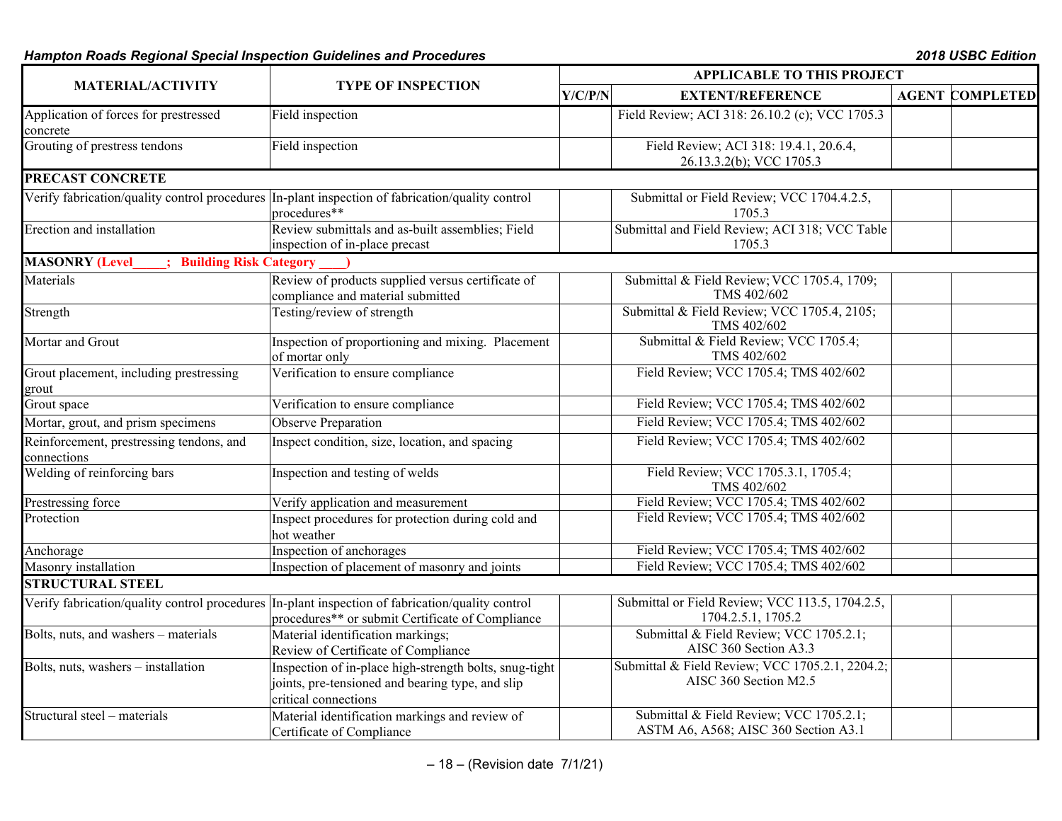## *Hampton Roads Regional Special Inspection Guidelines and Procedures 2018 USBC Edition*

| <b>MATERIAL/ACTIVITY</b>                                       |                                                                                                                                    | <b>APPLICABLE TO THIS PROJECT</b> |                                                                                 |  |                        |  |
|----------------------------------------------------------------|------------------------------------------------------------------------------------------------------------------------------------|-----------------------------------|---------------------------------------------------------------------------------|--|------------------------|--|
|                                                                | <b>TYPE OF INSPECTION</b>                                                                                                          |                                   | Y/C/P/N<br><b>EXTENT/REFERENCE</b>                                              |  | <b>AGENT COMPLETED</b> |  |
| Application of forces for prestressed<br>concrete              | Field inspection                                                                                                                   |                                   | Field Review; ACI 318: 26.10.2 (c); VCC 1705.3                                  |  |                        |  |
| Grouting of prestress tendons                                  | Field inspection                                                                                                                   |                                   | Field Review; ACI 318: 19.4.1, 20.6.4,<br>26.13.3.2(b); VCC 1705.3              |  |                        |  |
| <b>PRECAST CONCRETE</b>                                        |                                                                                                                                    |                                   |                                                                                 |  |                        |  |
|                                                                | Verify fabrication/quality control procedures In-plant inspection of fabrication/quality control<br>procedures**                   |                                   | Submittal or Field Review; VCC 1704.4.2.5,<br>1705.3                            |  |                        |  |
| Erection and installation                                      | Review submittals and as-built assemblies; Field<br>inspection of in-place precast                                                 |                                   | Submittal and Field Review; ACI 318; VCC Table<br>1705.3                        |  |                        |  |
| <b>Building Risk Category</b><br><b>MASONRY (Level</b>         |                                                                                                                                    |                                   |                                                                                 |  |                        |  |
| Materials                                                      | Review of products supplied versus certificate of<br>compliance and material submitted                                             |                                   | Submittal & Field Review; VCC 1705.4, 1709;<br>TMS 402/602                      |  |                        |  |
| Strength                                                       | Testing/review of strength                                                                                                         |                                   | Submittal & Field Review; VCC 1705.4, 2105;<br>TMS 402/602                      |  |                        |  |
| Mortar and Grout                                               | Inspection of proportioning and mixing. Placement<br>of mortar only                                                                |                                   | Submittal & Field Review; VCC 1705.4;<br>TMS 402/602                            |  |                        |  |
| Grout placement, including prestressing<br>grout               | Verification to ensure compliance                                                                                                  |                                   | Field Review; VCC 1705.4; TMS 402/602                                           |  |                        |  |
| Grout space                                                    | Verification to ensure compliance                                                                                                  |                                   | Field Review; VCC 1705.4; TMS 402/602                                           |  |                        |  |
| Mortar, grout, and prism specimens                             | Observe Preparation                                                                                                                |                                   | Field Review; VCC 1705.4; TMS 402/602                                           |  |                        |  |
| Reinforcement, prestressing tendons, and<br>connections        | Inspect condition, size, location, and spacing                                                                                     |                                   | Field Review; VCC 1705.4; TMS 402/602                                           |  |                        |  |
| Welding of reinforcing bars<br>Inspection and testing of welds |                                                                                                                                    |                                   | Field Review; VCC 1705.3.1, 1705.4;<br>TMS 402/602                              |  |                        |  |
| Prestressing force                                             | Verify application and measurement                                                                                                 |                                   | Field Review; VCC 1705.4; TMS 402/602                                           |  |                        |  |
| Protection                                                     | Inspect procedures for protection during cold and<br>hot weather                                                                   |                                   | Field Review; VCC 1705.4; TMS 402/602                                           |  |                        |  |
| Anchorage                                                      | Inspection of anchorages                                                                                                           |                                   | Field Review; VCC 1705.4; TMS 402/602                                           |  |                        |  |
| Masonry installation                                           | Inspection of placement of masonry and joints                                                                                      |                                   | Field Review; VCC 1705.4; TMS 402/602                                           |  |                        |  |
| <b>STRUCTURAL STEEL</b>                                        |                                                                                                                                    |                                   |                                                                                 |  |                        |  |
| Verify fabrication/quality control procedures                  | In-plant inspection of fabrication/quality control<br>procedures** or submit Certificate of Compliance                             |                                   | Submittal or Field Review; VCC 113.5, 1704.2.5,<br>1704.2.5.1, 1705.2           |  |                        |  |
| Bolts, nuts, and washers - materials                           | Material identification markings;<br>Review of Certificate of Compliance                                                           |                                   | Submittal & Field Review; VCC 1705.2.1;<br>AISC 360 Section A3.3                |  |                        |  |
| Bolts, nuts, washers - installation                            | Inspection of in-place high-strength bolts, snug-tight<br>joints, pre-tensioned and bearing type, and slip<br>critical connections |                                   | Submittal & Field Review; VCC 1705.2.1, 2204.2;<br>AISC 360 Section M2.5        |  |                        |  |
| Structural steel - materials                                   | Material identification markings and review of<br>Certificate of Compliance                                                        |                                   | Submittal & Field Review; VCC 1705.2.1;<br>ASTM A6, A568; AISC 360 Section A3.1 |  |                        |  |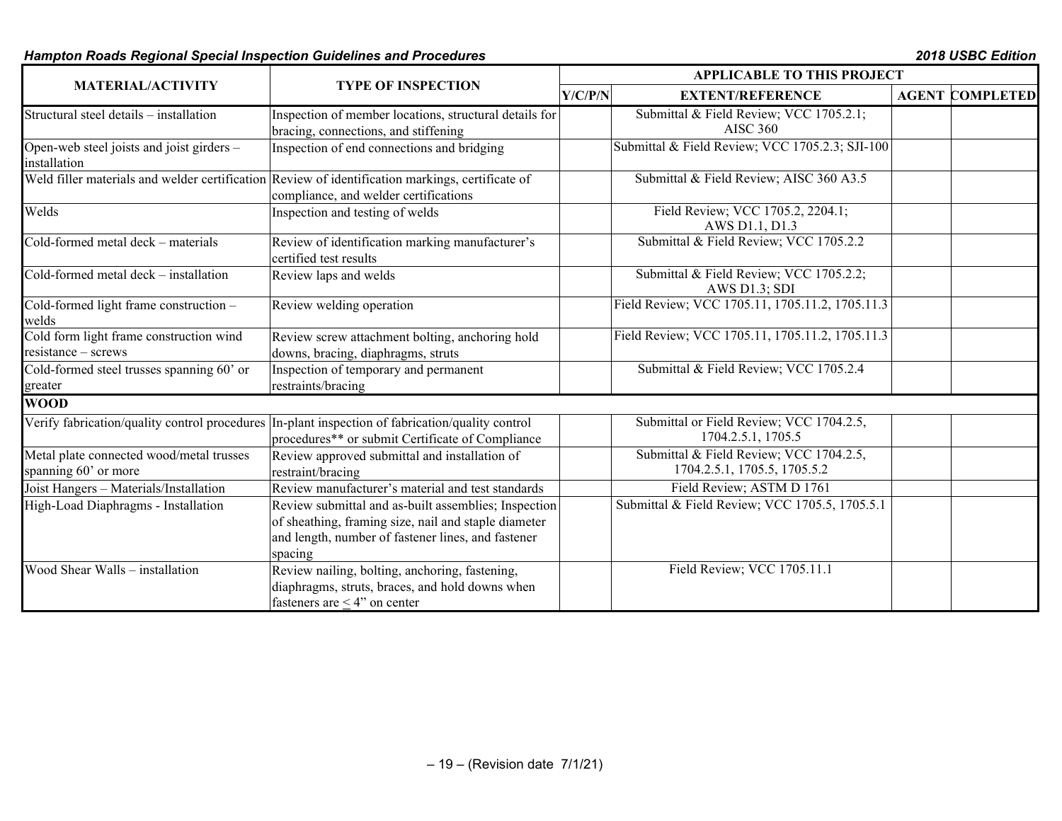## *Hampton Roads Regional Special Inspection Guidelines and Procedures 2018 USBC Edition*

|                                                                  |                                                                                                                                                                               | <b>APPLICABLE TO THIS PROJECT</b>                                       |  |                        |  |  |
|------------------------------------------------------------------|-------------------------------------------------------------------------------------------------------------------------------------------------------------------------------|-------------------------------------------------------------------------|--|------------------------|--|--|
| <b>MATERIAL/ACTIVITY</b>                                         | <b>TYPE OF INSPECTION</b>                                                                                                                                                     | Y/C/P/N<br><b>EXTENT/REFERENCE</b>                                      |  | <b>AGENT COMPLETED</b> |  |  |
| Structural steel details - installation                          | Inspection of member locations, structural details for<br>bracing, connections, and stiffening                                                                                | Submittal & Field Review; VCC 1705.2.1;<br><b>AISC 360</b>              |  |                        |  |  |
| Open-web steel joists and joist girders -<br>installation        | Inspection of end connections and bridging                                                                                                                                    | Submittal & Field Review; VCC 1705.2.3; SJI-100                         |  |                        |  |  |
|                                                                  | Weld filler materials and welder certification Review of identification markings, certificate of<br>compliance, and welder certifications                                     | Submittal & Field Review; AISC 360 A3.5                                 |  |                        |  |  |
| Welds                                                            | Inspection and testing of welds                                                                                                                                               | Field Review; VCC 1705.2, 2204.1;<br>AWS D1.1, D1.3                     |  |                        |  |  |
| Cold-formed metal deck – materials                               | Review of identification marking manufacturer's<br>certified test results                                                                                                     | Submittal & Field Review; VCC 1705.2.2                                  |  |                        |  |  |
| Cold-formed metal deck - installation                            | Review laps and welds                                                                                                                                                         | Submittal & Field Review; VCC 1705.2.2;<br>AWS D1.3; SDI                |  |                        |  |  |
| Cold-formed light frame construction -<br>welds                  | Review welding operation                                                                                                                                                      | Field Review; VCC 1705.11, 1705.11.2, 1705.11.3                         |  |                        |  |  |
| Cold form light frame construction wind<br>$resistance - screws$ | Review screw attachment bolting, anchoring hold<br>downs, bracing, diaphragms, struts                                                                                         | Field Review; VCC 1705.11, 1705.11.2, 1705.11.3                         |  |                        |  |  |
| Cold-formed steel trusses spanning 60' or<br>greater             | Inspection of temporary and permanent<br>restraints/bracing                                                                                                                   | Submittal & Field Review; VCC 1705.2.4                                  |  |                        |  |  |
| <b>WOOD</b>                                                      |                                                                                                                                                                               |                                                                         |  |                        |  |  |
| Verify fabrication/quality control procedures                    | In-plant inspection of fabrication/quality control<br>procedures** or submit Certificate of Compliance                                                                        | Submittal or Field Review; VCC 1704.2.5,<br>1704.2.5.1, 1705.5          |  |                        |  |  |
| Metal plate connected wood/metal trusses<br>spanning 60' or more | Review approved submittal and installation of<br>restraint/bracing                                                                                                            | Submittal & Field Review; VCC 1704.2.5,<br>1704.2.5.1, 1705.5, 1705.5.2 |  |                        |  |  |
| Joist Hangers - Materials/Installation                           | Review manufacturer's material and test standards                                                                                                                             | Field Review; ASTM D 1761                                               |  |                        |  |  |
| High-Load Diaphragms - Installation                              | Review submittal and as-built assemblies; Inspection<br>of sheathing, framing size, nail and staple diameter<br>and length, number of fastener lines, and fastener<br>spacing | Submittal & Field Review; VCC 1705.5, 1705.5.1                          |  |                        |  |  |
| Wood Shear Walls – installation                                  | Review nailing, bolting, anchoring, fastening,<br>diaphragms, struts, braces, and hold downs when<br>fasteners are $\leq$ 4" on center                                        | Field Review; VCC 1705.11.1                                             |  |                        |  |  |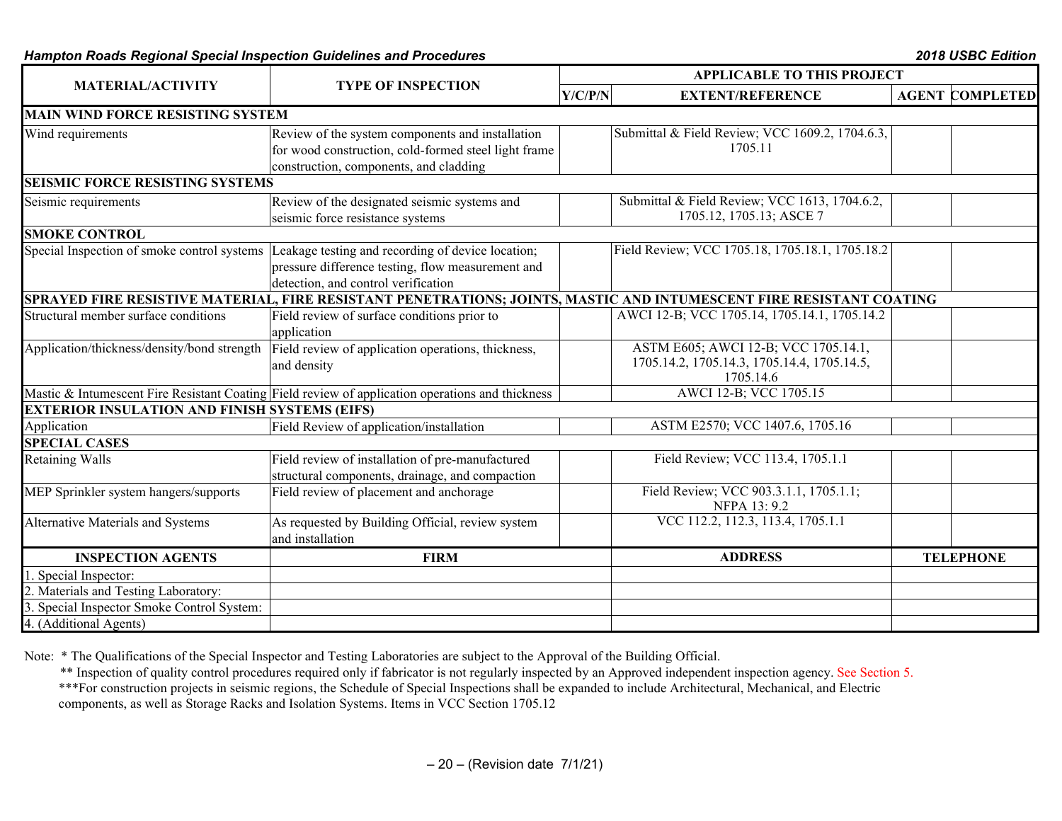#### *Hampton Roads Regional Special Inspection Guidelines and Procedures 2018 USBC Edition*

|                                                      |                                                                                                                                                                                           | <b>APPLICABLE TO THIS PROJECT</b> |                                                                                                  |  |                        |  |
|------------------------------------------------------|-------------------------------------------------------------------------------------------------------------------------------------------------------------------------------------------|-----------------------------------|--------------------------------------------------------------------------------------------------|--|------------------------|--|
| <b>MATERIAL/ACTIVITY</b>                             | <b>TYPE OF INSPECTION</b>                                                                                                                                                                 | Y/C/P/N                           | <b>EXTENT/REFERENCE</b>                                                                          |  | <b>AGENT COMPLETED</b> |  |
| <b>MAIN WIND FORCE RESISTING SYSTEM</b>              |                                                                                                                                                                                           |                                   |                                                                                                  |  |                        |  |
| Wind requirements                                    | Review of the system components and installation<br>for wood construction, cold-formed steel light frame<br>construction, components, and cladding                                        |                                   | Submittal & Field Review; VCC 1609.2, 1704.6.3,<br>1705.11                                       |  |                        |  |
| <b>SEISMIC FORCE RESISTING SYSTEMS</b>               |                                                                                                                                                                                           |                                   |                                                                                                  |  |                        |  |
| Seismic requirements                                 | Review of the designated seismic systems and<br>seismic force resistance systems                                                                                                          |                                   | Submittal & Field Review; VCC 1613, 1704.6.2,<br>1705.12, 1705.13; ASCE 7                        |  |                        |  |
| <b>SMOKE CONTROL</b>                                 |                                                                                                                                                                                           |                                   |                                                                                                  |  |                        |  |
|                                                      | Special Inspection of smoke control systems Leakage testing and recording of device location;<br>pressure difference testing, flow measurement and<br>detection, and control verification |                                   | Field Review; VCC 1705.18, 1705.18.1, 1705.18.2                                                  |  |                        |  |
|                                                      | SPRAYED FIRE RESISTIVE MATERIAL, FIRE RESISTANT PENETRATIONS; JOINTS, MASTIC AND INTUMESCENT FIRE RESISTANT COATING                                                                       |                                   |                                                                                                  |  |                        |  |
| Structural member surface conditions                 | Field review of surface conditions prior to<br>application                                                                                                                                |                                   | AWCI 12-B; VCC 1705.14, 1705.14.1, 1705.14.2                                                     |  |                        |  |
| Application/thickness/density/bond strength          | Field review of application operations, thickness,<br>and density                                                                                                                         |                                   | ASTM E605; AWCI 12-B; VCC 1705.14.1,<br>1705.14.2, 1705.14.3, 1705.14.4, 1705.14.5,<br>1705.14.6 |  |                        |  |
|                                                      | Mastic & Intumescent Fire Resistant Coating Field review of application operations and thickness                                                                                          |                                   | AWCI 12-B; VCC 1705.15                                                                           |  |                        |  |
| <b>EXTERIOR INSULATION AND FINISH SYSTEMS (EIFS)</b> |                                                                                                                                                                                           |                                   |                                                                                                  |  |                        |  |
| Application                                          | Field Review of application/installation                                                                                                                                                  |                                   | ASTM E2570; VCC 1407.6, 1705.16                                                                  |  |                        |  |
| <b>SPECIAL CASES</b>                                 |                                                                                                                                                                                           |                                   |                                                                                                  |  |                        |  |
| <b>Retaining Walls</b>                               | Field review of installation of pre-manufactured<br>structural components, drainage, and compaction                                                                                       |                                   | Field Review; VCC 113.4, 1705.1.1                                                                |  |                        |  |
| MEP Sprinkler system hangers/supports                | Field review of placement and anchorage                                                                                                                                                   |                                   | Field Review; VCC 903.3.1.1, 1705.1.1;<br>NFPA 13: 9.2                                           |  |                        |  |
| Alternative Materials and Systems                    | As requested by Building Official, review system<br>and installation                                                                                                                      |                                   | VCC 112.2, 112.3, 113.4, 1705.1.1                                                                |  |                        |  |
| <b>INSPECTION AGENTS</b>                             | <b>FIRM</b>                                                                                                                                                                               |                                   | <b>ADDRESS</b>                                                                                   |  | <b>TELEPHONE</b>       |  |
| 1. Special Inspector:                                |                                                                                                                                                                                           |                                   |                                                                                                  |  |                        |  |
| 2. Materials and Testing Laboratory:                 |                                                                                                                                                                                           |                                   |                                                                                                  |  |                        |  |
| 3. Special Inspector Smoke Control System:           |                                                                                                                                                                                           |                                   |                                                                                                  |  |                        |  |
| 4. (Additional Agents)                               |                                                                                                                                                                                           |                                   |                                                                                                  |  |                        |  |

Note: \* The Qualifications of the Special Inspector and Testing Laboratories are subject to the Approval of the Building Official.

\*\* Inspection of quality control procedures required only if fabricator is not regularly inspected by an Approved independent inspection agency. See Section 5.

\*\*\*For construction projects in seismic regions, the Schedule of Special Inspections shall be expanded to include Architectural, Mechanical, and Electric components, as well as Storage Racks and Isolation Systems. Items in VCC Section 1705.12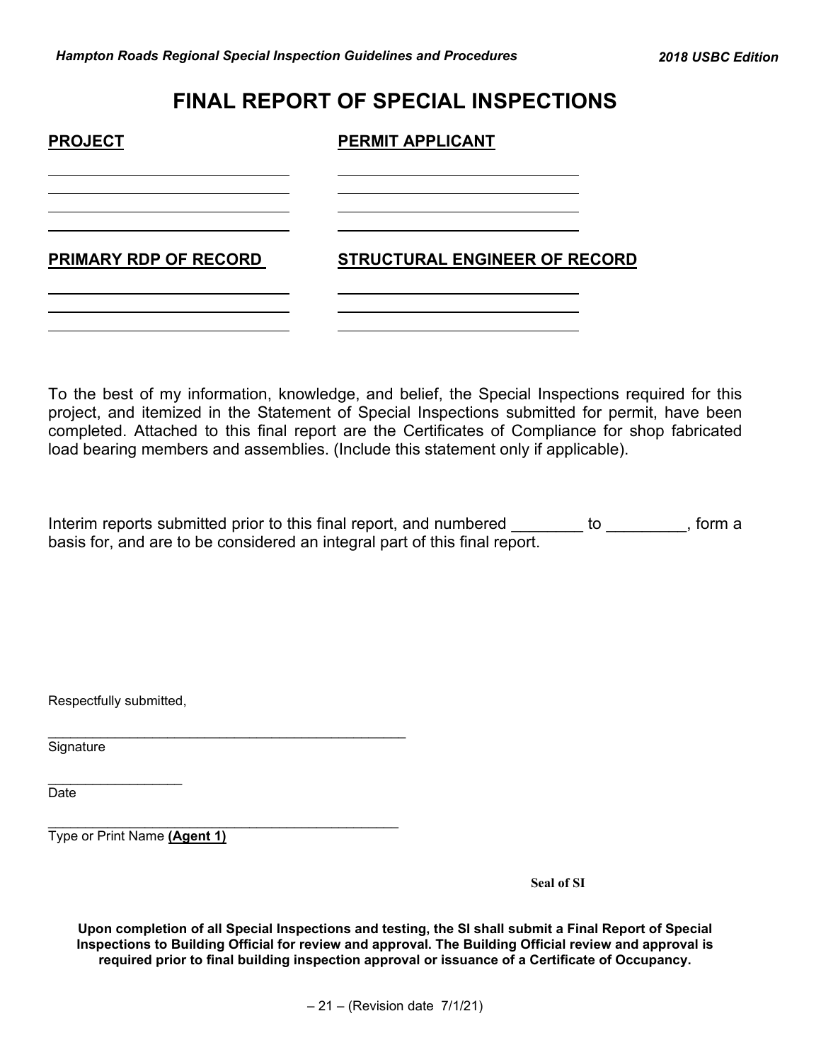# **FINAL REPORT OF SPECIAL INSPECTIONS**

| <b>PROJECT</b>        | <b>PERMIT APPLICANT</b>              |
|-----------------------|--------------------------------------|
|                       |                                      |
| PRIMARY RDP OF RECORD | <b>STRUCTURAL ENGINEER OF RECORD</b> |
|                       |                                      |

To the best of my information, knowledge, and belief, the Special Inspections required for this project, and itemized in the Statement of Special Inspections submitted for permit, have been completed. Attached to this final report are the Certificates of Compliance for shop fabricated load bearing members and assemblies. (Include this statement only if applicable).

Interim reports submitted prior to this final report, and numbered we are to we are to home a basis for, and are to be considered an integral part of this final report.

Respectfully submitted,

\_\_\_\_\_\_\_\_\_\_\_\_\_\_\_\_\_\_

\_\_\_\_\_\_\_\_\_\_\_\_\_\_\_\_\_\_\_\_\_\_\_\_\_\_\_\_\_\_\_\_\_\_\_\_\_\_\_\_\_\_\_\_\_\_\_\_ **Signature** 

Date **Date** and the second contract of the second contract of the second contract of the second contract of the second contract of the second contract of the second contract of the second contract of the second contract of

\_\_\_\_\_\_\_\_\_\_\_\_\_\_\_\_\_\_\_\_\_\_\_\_\_\_\_\_\_\_\_\_\_\_\_\_\_\_\_\_\_\_\_\_\_\_\_ Type or Print Name **(Agent 1)**

**Seal of SI**

**Upon completion of all Special Inspections and testing, the SI shall submit a Final Report of Special Inspections to Building Official for review and approval. The Building Official review and approval is required prior to final building inspection approval or issuance of a Certificate of Occupancy.**